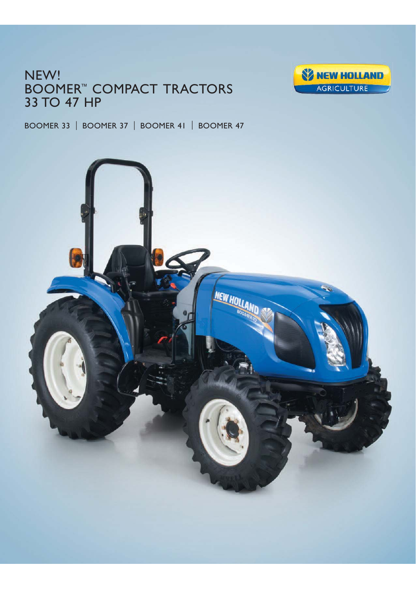# NEW! BOOMER™ COMPACT TRACTORS 33 TO 47 HP



BOOMER 33 | BOOMER 37 | BOOMER 41 | BOOMER 47

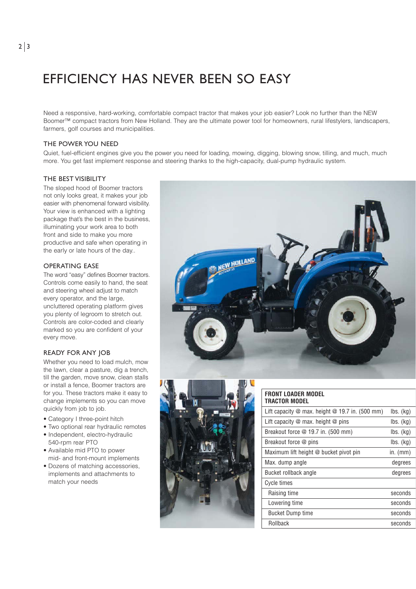# EFFICIENCY HAS NEVER BEEN SO EASY

Need a responsive, hard-working, comfortable compact tractor that makes your job easier? Look no further than the NEW Boomer™ compact tractors from New Holland. They are the ultimate power tool for homeowners, rural lifestylers, landscapers, farmers, golf courses and municipalities.

## THE POWER YOU NEED

Quiet, fuel-efficient engines give you the power you need for loading, mowing, digging, blowing snow, tilling, and much, much more. You get fast implement response and steering thanks to the high-capacity, dual-pump hydraulic system.

# THE BEST VISIBILITY

The sloped hood of Boomer tractors not only looks great, it makes your job easier with phenomenal forward visibility. Your view is enhanced with a lighting package that's the best in the business, illuminating your work area to both front and side to make you more productive and safe when operating in the early or late hours of the day..

# OPERATING EASE

The word "easy" defines Boomer tractors. Controls come easily to hand, the seat and steering wheel adjust to match every operator, and the large, uncluttered operating platform gives you plenty of legroom to stretch out. Controls are color-coded and clearly marked so you are confident of your every move.

# READY FOR ANY JOB

Whether you need to load mulch, mow the lawn, clear a pasture, dig a trench, till the garden, move snow, clean stalls or install a fence, Boomer tractors are for you. These tractors make it easy to change implements so you can move quickly from job to job.

- Category I three-point hitch
- Two optional rear hydraulic remotes
- Independent, electro-hydraulic 540-rpm rear PTO
- Available mid PTO to power mid- and front-mount implements
- Dozens of matching accessories, implements and attachments to match your needs





#### **FRONT LOADER MODEL TRACTOR MODEL**

| Lift capacity $\omega$ max. height $\omega$ 19.7 in. (500 mm) | $\mathsf{lbs.}\ (\mathsf{kg})$ |
|---------------------------------------------------------------|--------------------------------|
| Lift capacity $@$ max. height $@$ pins                        | $\mathsf{lbs.}\ (\mathsf{kg})$ |
| Breakout force @ 19.7 in. (500 mm)                            | $\mathsf{lbs.}\ (\mathsf{kg})$ |
| Breakout force @ pins                                         | $\mathsf{lbs.}\ (\mathsf{kq})$ |
| Maximum lift height @ bucket pivot pin                        | in. $(mm)$                     |
| Max. dump angle                                               | degrees                        |
| Bucket rollback angle                                         | degrees                        |
| Cycle times                                                   |                                |
| Raising time                                                  | seconds                        |
| Lowering time                                                 | seconds                        |
| <b>Bucket Dump time</b>                                       | seconds                        |
| Rollback                                                      | seconds                        |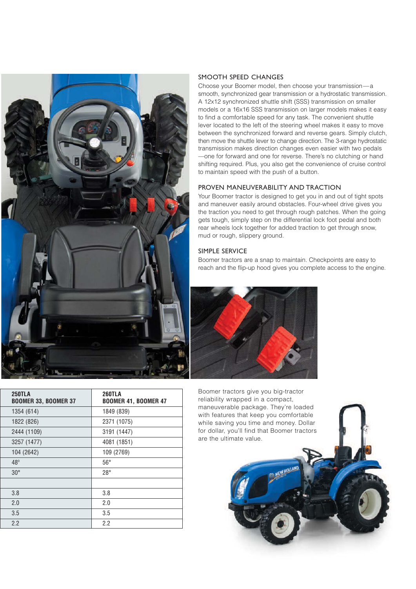

| <b>250TLA</b><br><b>BOOMER 33, BOOMER 37</b> | <b>260TLA</b><br><b>BOOMER 41, BOOMER 47</b> |  |
|----------------------------------------------|----------------------------------------------|--|
| 1354 (614)                                   | 1849 (839)                                   |  |
| 1822 (826)                                   | 2371 (1075)                                  |  |
| 2444 (1109)                                  | 3191 (1447)                                  |  |
| 3257 (1477)                                  | 4081 (1851)                                  |  |
| 104 (2642)                                   | 109 (2769)                                   |  |
| $48^\circ$                                   | $56^{\circ}$                                 |  |
| $30^\circ$                                   | $28^\circ$                                   |  |
|                                              |                                              |  |
| 3.8                                          | 3.8                                          |  |
| 2.0                                          | 2.0                                          |  |
| 3.5                                          | 3.5                                          |  |
| 2.2                                          | 2.2                                          |  |

## SMOOTH SPEED CHANGES

Choose your Boomer model, then choose your transmission—a smooth, synchronized gear transmission or a hydrostatic transmission. A 12x12 synchronized shuttle shift (SSS) transmission on smaller models or a 16x16 SSS transmission on larger models makes it easy to find a comfortable speed for any task. The convenient shuttle lever located to the left of the steering wheel makes it easy to move between the synchronized forward and reverse gears. Simply clutch, then move the shuttle lever to change direction. The 3-range hydrostatic transmission makes direction changes even easier with two pedals —one for forward and one for reverse. There's no clutching or hand shifting required. Plus, you also get the convenience of cruise control to maintain speed with the push of a button.

# PROVEN MANEUVERABILITY AND TRACTION

Your Boomer tractor is designed to get you in and out of tight spots and maneuver easily around obstacles. Four-wheel drive gives you the traction you need to get through rough patches. When the going gets tough, simply step on the differential lock foot pedal and both rear wheels lock together for added traction to get through snow, mud or rough, slippery ground.

### SIMPLE SERVICE

Boomer tractors are a snap to maintain. Checkpoints are easy to reach and the flip-up hood gives you complete access to the engine.



Boomer tractors give you big-tractor reliability wrapped in a compact, maneuverable package. They're loaded with features that keep you comfortable while saving you time and money. Dollar for dollar, you'll find that Boomer tractors are the ultimate value.